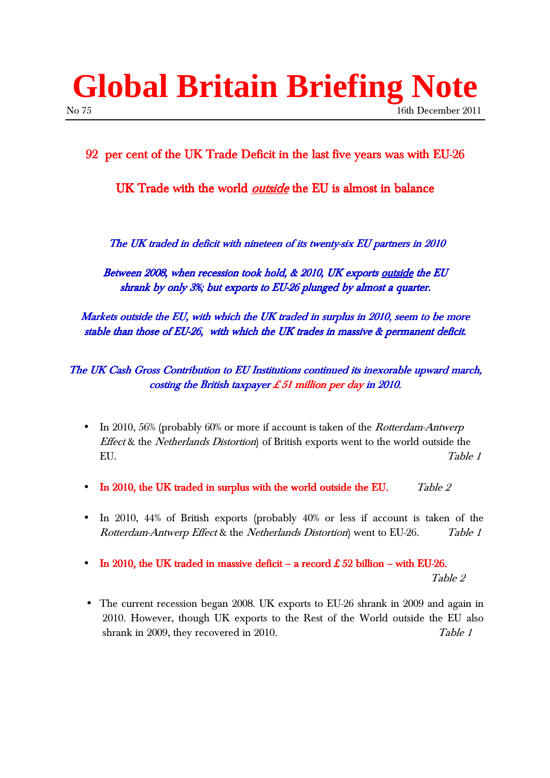# **Global Britain Briefing Note**  No 75 16th December 2011

### 92 per cent of the UK Trade Deficit in the last five years was with EU-26

UK Trade with the world *outside* the EU is almost in balance

The UK traded in deficit with nineteen of its twenty-six EU partners in 2010

Between 2008, when recession took hold, & 2010, UK exports outside the EU shrank by only  $3\%$ ; but exports to EU-26 plunged by almost a quarter.

Markets outside the EU, with which the UK traded in surplus in 2010, seem to be more stable than those of EU-26, with which the UK trades in massive  $\&$  permanent deficit.

#### The UK Cash Gross Contribution to EU Institutions continued its inexorable upward march, costing the British taxpayer £ 51 million per day in 2010.

- In 2010, 56% (probably 60% or more if account is taken of the *Rotterdam-Antwerp* Effect & the Netherlands Distortion) of British exports went to the world outside the EU. Table 1
- In 2010, the UK traded in surplus with the world outside the EU.  $Table 2$
- In 2010, 44% of British exports (probably 40% or less if account is taken of the Rotterdam-Antwerp Effect & the Netherlands Distortion) went to EU-26. Table 1
- In 2010, the UK traded in massive deficit a record  $£ 52$  billion with EU-26.

Table 2

• The current recession began 2008. UK exports to EU-26 shrank in 2009 and again in 2010. However, though UK exports to the Rest of the World outside the EU also shrank in 2009, they recovered in 2010. Table 1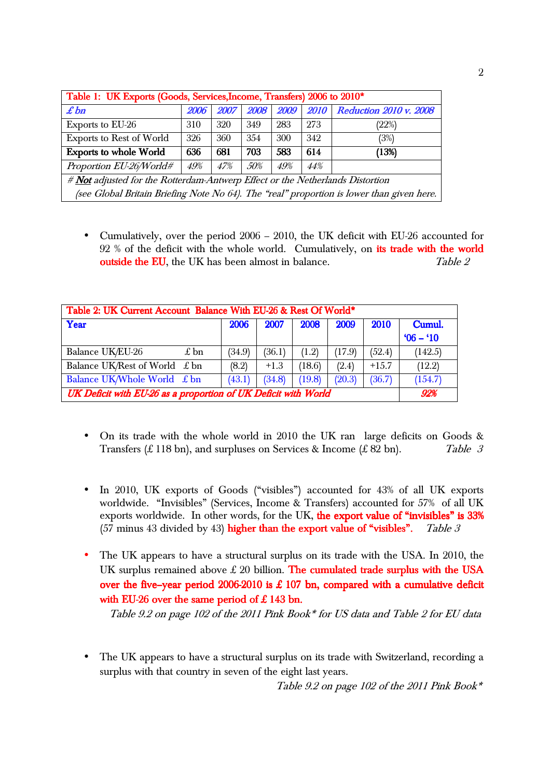| Table 1: UK Exports (Goods, Services, Income, Transfers) 2006 to 2010*                    |             |     |     |     |     |                                            |  |  |  |
|-------------------------------------------------------------------------------------------|-------------|-----|-----|-----|-----|--------------------------------------------|--|--|--|
| $\pounds$ bn                                                                              | <b>2006</b> |     |     |     |     | 2007 2008 2009 2010 Reduction 2010 v. 2008 |  |  |  |
| Exports to EU-26                                                                          | 310         | 320 | 349 | 283 | 273 | (22%)                                      |  |  |  |
| Exports to Rest of World                                                                  | 326         | 360 | 354 | 300 | 342 | (3%)                                       |  |  |  |
| 636<br>703<br>583<br><b>Exports to whole World</b><br>681<br>614<br>(13%)                 |             |     |     |     |     |                                            |  |  |  |
| Proportion EU-26/World#<br>49%<br>50%<br>$44\%$<br>47%<br>49%                             |             |     |     |     |     |                                            |  |  |  |
| # Not adjusted for the Rotterdam-Antwerp Effect or the Netherlands Distortion             |             |     |     |     |     |                                            |  |  |  |
| (see Global Britain Briefing Note No 64). The "real" proportion is lower than given here. |             |     |     |     |     |                                            |  |  |  |

• Cumulatively, over the period 2006 – 2010, the UK deficit with EU-26 accounted for 92 % of the deficit with the whole world. Cumulatively, on its trade with the world outside the EU, the UK has been almost in balance. Table 2

| Table 2: UK Current Account Balance With EU-26 & Rest Of World* |        |        |        |        |         |           |  |
|-----------------------------------------------------------------|--------|--------|--------|--------|---------|-----------|--|
| Year                                                            | 2006   | 2007   | 2008   | 2009   | 2010    | Cumul.    |  |
|                                                                 |        |        |        |        |         | $06 - 10$ |  |
| Balance UK/EU-26<br>$\pounds$ bn                                | (34.9) | (36.1) | (1.2)  | (17.9) | (52.4)  | (142.5)   |  |
| Balance UK/Rest of World $\pounds$ bn                           | (8.2)  | $+1.3$ | (18.6) | (2.4)  | $+15.7$ | (12.2)    |  |
| Balance UK/Whole World £ bn                                     | (43.1) | (34.8) | (19.8) | (20.3) | (36.7)  | (154.7)   |  |
| UK Deficit with EU-26 as a proportion of UK Deficit with World  |        |        |        |        |         |           |  |

- On its trade with the whole world in 2010 the UK ran large deficits on Goods & Transfers (£ 118 bn), and surpluses on Services & Income (£ 82 bn). Table 3
- In 2010, UK exports of Goods ("visibles") accounted for 43% of all UK exports worldwide. "Invisibles" (Services, Income & Transfers) accounted for 57% of all UK exports worldwide. In other words, for the UK, the export value of "invisibles" is 33% (57 minus 43 divided by 43) higher than the export value of "visibles". Table 3
- The UK appears to have a structural surplus on its trade with the USA. In 2010, the UK surplus remained above  $\pounds$  20 billion. The cumulated trade surplus with the USA over the five-year period 2006-2010 is  $£ 107$  bn, compared with a cumulative deficit with EU-26 over the same period of  $£$  143 bn.

Table 9.2 on page 102 of the 2011 Pink Book\* for US data and Table 2 for EU data

The UK appears to have a structural surplus on its trade with Switzerland, recording a surplus with that country in seven of the eight last years.

Table 9.2 on page 102 of the 2011 Pink Book\*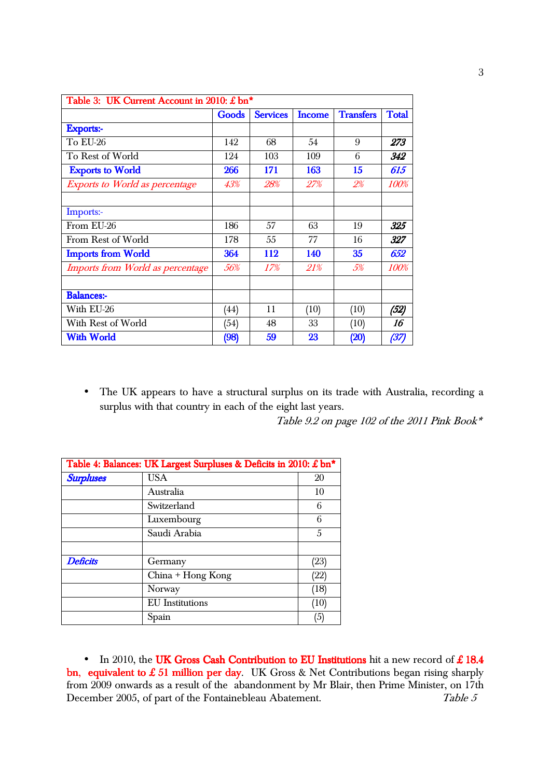| Table 3: UK Current Account in 2010: £ bn* |       |                 |               |                  |              |  |
|--------------------------------------------|-------|-----------------|---------------|------------------|--------------|--|
|                                            | Goods | <b>Services</b> | <b>Income</b> | <b>Transfers</b> | <b>Total</b> |  |
| <b>Exports:-</b>                           |       |                 |               |                  |              |  |
| To EU-26                                   | 142   | 68              | 54            | 9                | 273          |  |
| To Rest of World                           | 124   | 103             | 109           | 6                | 342          |  |
| <b>Exports to World</b>                    | 266   | 171             | 163           | 15               | 615          |  |
| <b>Exports to World as percentage</b>      | 43%   | 28%             | 27%           | 2%               | 100%         |  |
| Imports:-                                  |       |                 |               |                  |              |  |
| From EU-26                                 | 186   | 57              | 63            | 19               | 325          |  |
| From Rest of World                         | 178   | 55              | 77            | 16               | 327          |  |
| <b>Imports from World</b>                  | 364   | 112             | 140           | 35               | 652          |  |
| Imports from World as percentage           | 56%   | 17%             | 21%           | 5%               | <i>100%</i>  |  |
| <b>Balances:-</b>                          |       |                 |               |                  |              |  |
| With EU-26                                 | (44)  | 11              | (10)          | (10)             | (52)         |  |
| With Rest of World                         | (54)  | 48              | 33            | (10)             | 16           |  |
| <b>With World</b>                          | (98)  | 59              | 23            | (20)             | (37)         |  |

• The UK appears to have a structural surplus on its trade with Australia, recording a surplus with that country in each of the eight last years.

Table 9.2 on page 102 of the 2011 Pink Book\*

| Table 4: Balances: UK Largest Surpluses & Deficits in 2010: £ bn* |                        |      |  |  |  |
|-------------------------------------------------------------------|------------------------|------|--|--|--|
| <b>Surpluses</b>                                                  | <b>USA</b>             | 20   |  |  |  |
|                                                                   | Australia              | 10   |  |  |  |
|                                                                   | Switzerland            | 6    |  |  |  |
|                                                                   | Luxembourg             | 6    |  |  |  |
|                                                                   | Saudi Arabia           | 5    |  |  |  |
|                                                                   |                        |      |  |  |  |
| <b>Deficits</b>                                                   | Germany                | (23) |  |  |  |
|                                                                   | China + Hong Kong      | (22) |  |  |  |
|                                                                   | Norway                 | (18) |  |  |  |
|                                                                   | <b>EU</b> Institutions | (10) |  |  |  |
|                                                                   | Spain                  | (5)  |  |  |  |

• In 2010, the UK Gross Cash Contribution to EU Institutions hit a new record of  $\pounds$  18.4 bn, equivalent to £ 51 million per day. UK Gross & Net Contributions began rising sharply from 2009 onwards as a result of the abandonment by Mr Blair, then Prime Minister, on 17th December 2005, of part of the Fontainebleau Abatement. Table 5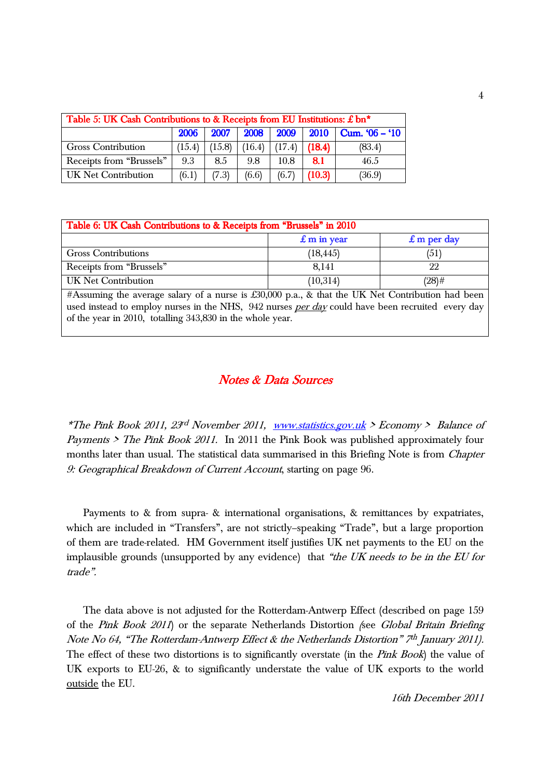| Table 5: UK Cash Contributions to & Receipts from EU Institutions: £ bn* |        |        |        |                 |             |                       |
|--------------------------------------------------------------------------|--------|--------|--------|-----------------|-------------|-----------------------|
|                                                                          | 2006   | 2007   |        | 2008 2009       | <b>2010</b> | $\sim$ Cum. '06 – '10 |
| <b>Gross Contribution</b>                                                | (15.4) | (15.8) | (16.4) | $(17.4)$ (18.4) |             | (83.4)                |
| Receipts from "Brussels"                                                 | 9.3    | 8.5    | 9.8    | 10.8            | 8.1         | 46.5                  |
| UK Net Contribution                                                      | (6.1)  | (7.3)  | (6.6)  | (6.7)           | (10.3)      | (36.9)                |

| Table 6: UK Cash Contributions to & Receipts from "Brussels" in 2010                                    |                        |                     |  |  |  |  |
|---------------------------------------------------------------------------------------------------------|------------------------|---------------------|--|--|--|--|
|                                                                                                         | $\mathbf{f}$ m in year | $\pounds$ m per day |  |  |  |  |
| <b>Gross Contributions</b>                                                                              | (18, 445)              | (51)                |  |  |  |  |
| Receipts from "Brussels"                                                                                | 8.141                  | 22                  |  |  |  |  |
| UK Net Contribution                                                                                     | (10,314)               | $(28)$ #            |  |  |  |  |
| $\#$ Assuming the average salary of a nurse is $f(30,000)$ p.a. & that the UK Net Contribution had been |                        |                     |  |  |  |  |

#Assuming the average salary of a nurse is £30,000 p.a., & that the UK Net Contribution had been used instead to employ nurses in the NHS, 942 nurses per day could have been recruited every day of the year in 2010, totalling 343,830 in the whole year.

#### **Notes & Data Sources**

\*The Pink Book 2011, 23<sup>rd</sup> November 2011, <u>www.statistics.gov.uk</u> > Economy > Balance of *Payments > The Pink Book 2011.* In 2011 the Pink Book was published approximately four months later than usual. The statistical data summarised in this Briefing Note is from *Chapter* 9: Geographical Breakdown of Current Account, starting on page 96.

Payments to & from supra- & international organisations, & remittances by expatriates, which are included in "Transfers", are not strictly-speaking "Trade", but a large proportion of them are trade-related. HM Government itself justifies UK net payments to the EU on the implausible grounds (unsupported by any evidence) that "the UK needs to be in the EU for trade‰.

The data above is not adjusted for the Rotterdam-Antwerp Effect (described on page 159 of the Pink Book 2011) or the separate Netherlands Distortion (see Global Britain Briefing Note No 64, "The Rotterdam-Antwerp Effect & the Netherlands Distortion" 7th January 2011). The effect of these two distortions is to significantly overstate (in the *Pink Book*) the value of UK exports to EU-26, & to significantly understate the value of UK exports to the world outside the EU.

16th December 2011